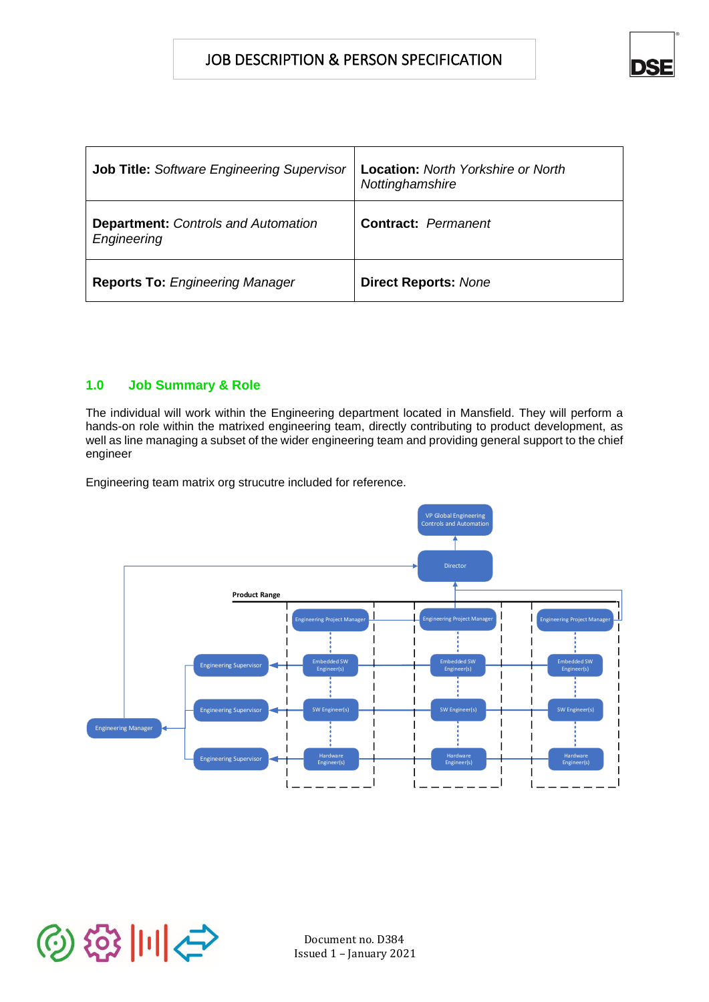ๅ๏

| Job Title: Software Engineering Supervisor                | <b>Location: North Yorkshire or North</b><br>Nottinghamshire |
|-----------------------------------------------------------|--------------------------------------------------------------|
| <b>Department:</b> Controls and Automation<br>Engineering | <b>Contract: Permanent</b>                                   |
| <b>Reports To: Engineering Manager</b>                    | <b>Direct Reports: None</b>                                  |

# **1.0 Job Summary & Role**

The individual will work within the Engineering department located in Mansfield. They will perform a hands-on role within the matrixed engineering team, directly contributing to product development, as well as line managing a subset of the wider engineering team and providing general support to the chief engineer

Engineering team matrix org strucutre included for reference.



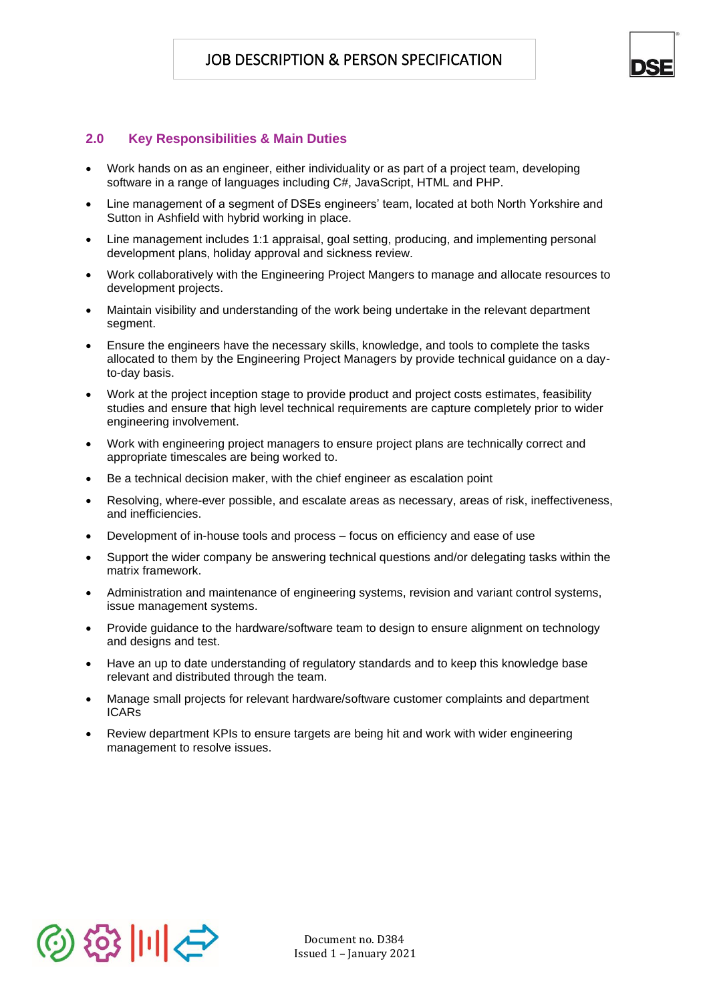

# **2.0 Key Responsibilities & Main Duties**

- Work hands on as an engineer, either individuality or as part of a project team, developing software in a range of languages including C#, JavaScript, HTML and PHP.
- Line management of a segment of DSEs engineers' team, located at both North Yorkshire and Sutton in Ashfield with hybrid working in place.
- Line management includes 1:1 appraisal, goal setting, producing, and implementing personal development plans, holiday approval and sickness review.
- Work collaboratively with the Engineering Project Mangers to manage and allocate resources to development projects.
- Maintain visibility and understanding of the work being undertake in the relevant department segment.
- Ensure the engineers have the necessary skills, knowledge, and tools to complete the tasks allocated to them by the Engineering Project Managers by provide technical guidance on a dayto-day basis.
- Work at the project inception stage to provide product and project costs estimates, feasibility studies and ensure that high level technical requirements are capture completely prior to wider engineering involvement.
- Work with engineering project managers to ensure project plans are technically correct and appropriate timescales are being worked to.
- Be a technical decision maker, with the chief engineer as escalation point
- Resolving, where-ever possible, and escalate areas as necessary, areas of risk, ineffectiveness, and inefficiencies.
- Development of in-house tools and process focus on efficiency and ease of use
- Support the wider company be answering technical questions and/or delegating tasks within the matrix framework.
- Administration and maintenance of engineering systems, revision and variant control systems, issue management systems.
- Provide guidance to the hardware/software team to design to ensure alignment on technology and designs and test.
- Have an up to date understanding of regulatory standards and to keep this knowledge base relevant and distributed through the team.
- Manage small projects for relevant hardware/software customer complaints and department ICARs
- Review department KPIs to ensure targets are being hit and work with wider engineering management to resolve issues.

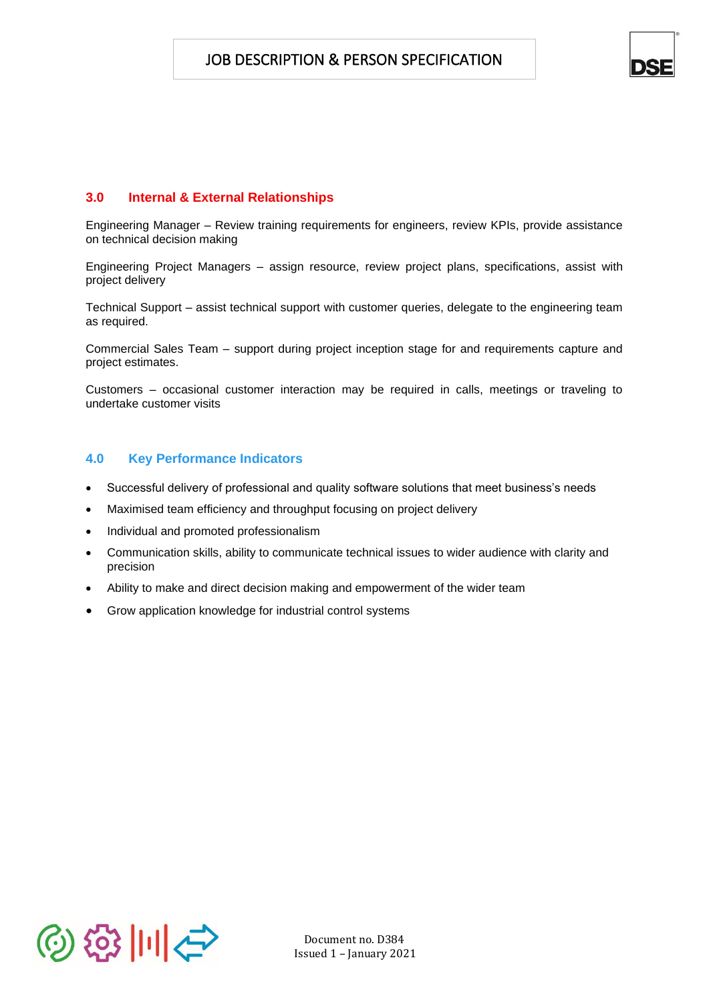

# **3.0 Internal & External Relationships**

Engineering Manager – Review training requirements for engineers, review KPIs, provide assistance on technical decision making

Engineering Project Managers – assign resource, review project plans, specifications, assist with project delivery

Technical Support – assist technical support with customer queries, delegate to the engineering team as required.

Commercial Sales Team – support during project inception stage for and requirements capture and project estimates.

Customers – occasional customer interaction may be required in calls, meetings or traveling to undertake customer visits

#### **4.0 Key Performance Indicators**

- Successful delivery of professional and quality software solutions that meet business's needs
- Maximised team efficiency and throughput focusing on project delivery
- Individual and promoted professionalism
- Communication skills, ability to communicate technical issues to wider audience with clarity and precision
- Ability to make and direct decision making and empowerment of the wider team
- Grow application knowledge for industrial control systems